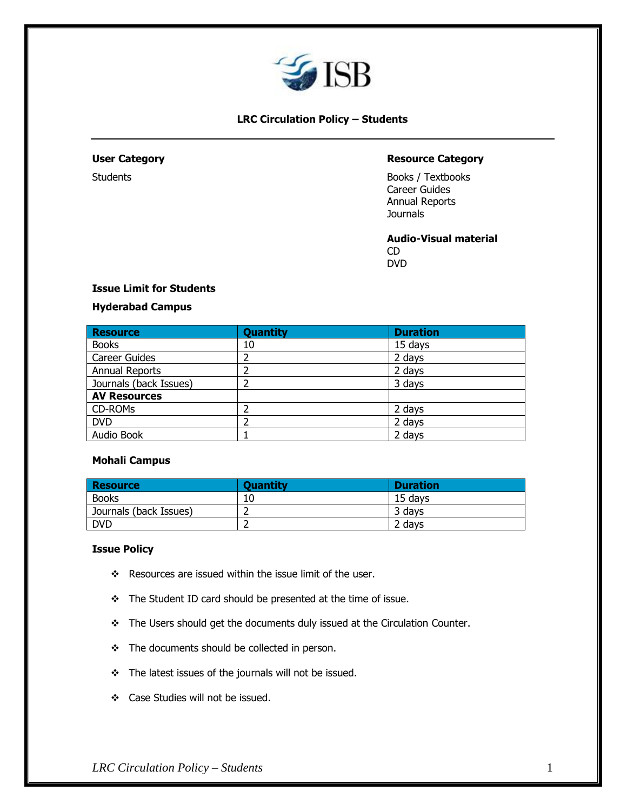

# **LRC Circulation Policy – Students**

# **User Category Resource Category**

Students **Books** / Textbooks Career Guides Annual Reports **Journals** 

> **Audio-Visual material** CD DVD

# **Issue Limit for Students**

### **Hyderabad Campus**

| <b>Resource</b>        | <b>Quantity</b> | <b>Duration</b> |
|------------------------|-----------------|-----------------|
| <b>Books</b>           | 10              | 15 days         |
| <b>Career Guides</b>   |                 | 2 days          |
| Annual Reports         |                 | 2 days          |
| Journals (back Issues) |                 | 3 days          |
| <b>AV Resources</b>    |                 |                 |
| CD-ROMs                |                 | 2 days          |
| <b>DVD</b>             |                 | 2 days          |
| Audio Book             |                 | 2 days          |

#### **Mohali Campus**

| <b>Resource</b>        | <b>Quantity</b> | <b>Duration</b> |
|------------------------|-----------------|-----------------|
| <b>Books</b>           | 10              | 15 davs         |
| Journals (back Issues) |                 | 3 davs          |
| <b>DVD</b>             |                 | 2 davs          |

#### **Issue Policy**

- ❖ Resources are issued within the issue limit of the user.
- ❖ The Student ID card should be presented at the time of issue.
- ❖ The Users should get the documents duly issued at the Circulation Counter.
- ❖ The documents should be collected in person.
- ❖ The latest issues of the journals will not be issued.
- ❖ Case Studies will not be issued.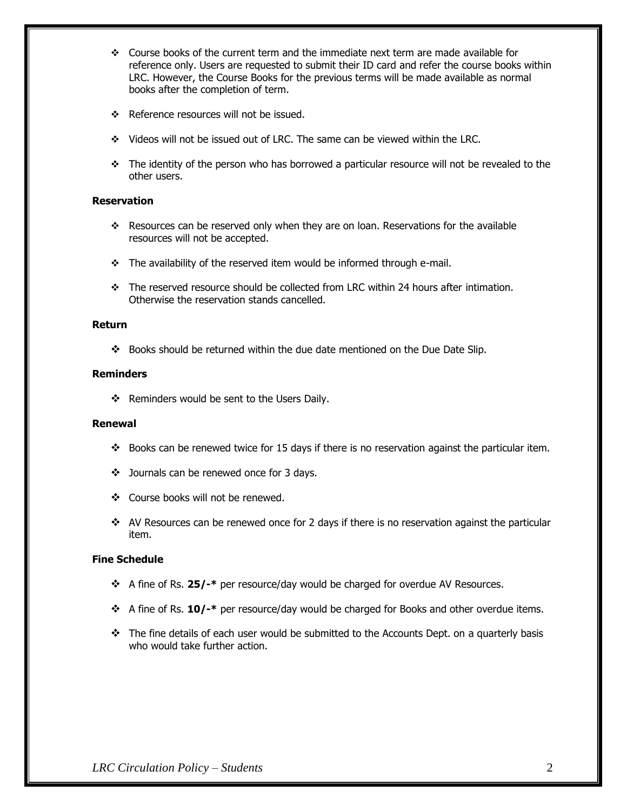- ❖ Course books of the current term and the immediate next term are made available for reference only. Users are requested to submit their ID card and refer the course books within LRC. However, the Course Books for the previous terms will be made available as normal books after the completion of term.
- ❖ Reference resources will not be issued.
- ❖ Videos will not be issued out of LRC. The same can be viewed within the LRC.
- ❖ The identity of the person who has borrowed a particular resource will not be revealed to the other users.

# **Reservation**

- ❖ Resources can be reserved only when they are on loan. Reservations for the available resources will not be accepted.
- ❖ The availability of the reserved item would be informed through e-mail.
- ❖ The reserved resource should be collected from LRC within 24 hours after intimation. Otherwise the reservation stands cancelled.

### **Return**

❖ Books should be returned within the due date mentioned on the Due Date Slip.

## **Reminders**

❖ Reminders would be sent to the Users Daily.

# **Renewal**

- $\cdot \cdot$  Books can be renewed twice for 15 days if there is no reservation against the particular item.
- ❖ Journals can be renewed once for 3 days.
- ❖ Course books will not be renewed.
- $\cdot \cdot$  AV Resources can be renewed once for 2 days if there is no reservation against the particular item.

# **Fine Schedule**

- ❖ A fine of Rs. **25/-\*** per resource/day would be charged for overdue AV Resources.
- ❖ A fine of Rs. **10/-\*** per resource/day would be charged for Books and other overdue items.
- $\div$  The fine details of each user would be submitted to the Accounts Dept. on a quarterly basis who would take further action.